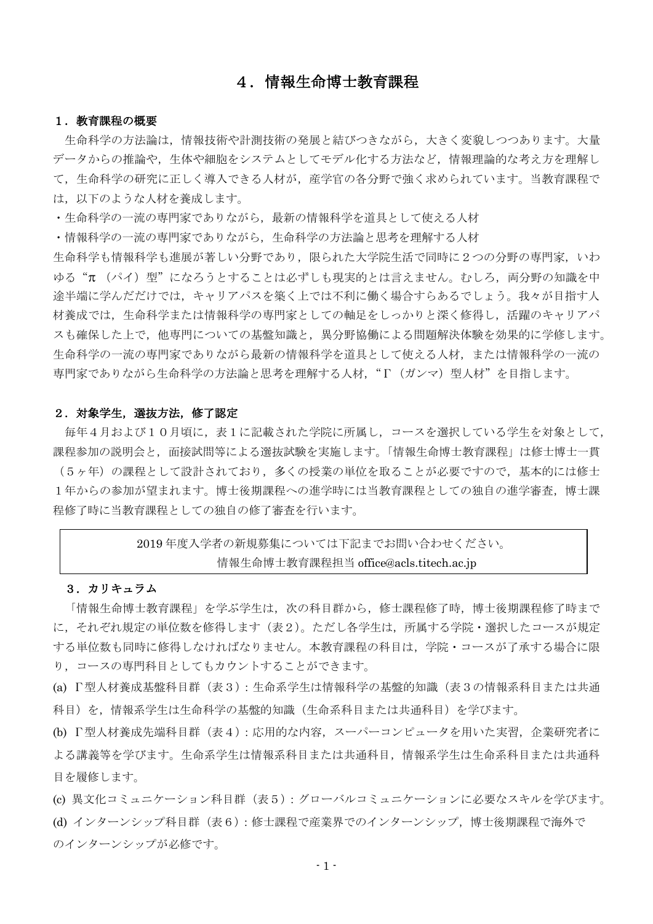# 4.情報生命博士教育課程

#### 1. 教育課程の概要

生命科学の方法論は,情報技術や計測技術の発展と結びつきながら,大きく変貌しつつあります。大量 データからの推論や,生体や細胞をシステムとしてモデル化する方法など,情報理論的な考え方を理解し て,生命科学の研究に正しく導入できる人材が,産学官の各分野で強く求められています。当教育課程で は,以下のような人材を養成します。

・生命科学の一流の専門家でありながら,最新の情報科学を道具として使える人材

・情報科学の一流の専門家でありながら,生命科学の方法論と思考を理解する人材

生命科学も情報科学も進展が著しい分野であり,限られた大学院生活で同時に2つの分野の専門家, いわ ゆる"π (パイ)型"になろうとすることは必ずしも現実的とは言えません。むしろ、両分野の知識を中 途半端に学んだだけでは,キャリアパスを築く上では不利に働く場合すらあるでしょう。我々が目指す人 材養成では,生命科学または情報科学の専門家としての軸足をしっかりと深く修得し,活躍のキャリアパ スも確保した上で,他専門についての基盤知識と,異分野協働による問題解決体験を効果的に学修します。 生命科学の一流の専門家でありながら最新の情報科学を道具として使える人材,または情報科学の一流の 専門家でありながら生命科学の方法論と思考を理解する人材,"Γ(ガンマ)型人材"を目指します。

#### 2.対象学生,選抜方法,修了認定

毎年4月および10月頃に,表1に記載された学院に所属し,コースを選択している学生を対象として, 課程参加の説明会と,面接試問等による選抜試験を実施します。「情報生命博士教育課程」は修士博士一貫

(5ヶ年)の課程として設計されており,多くの授業の単位を取ることが必要ですので,基本的には修士 1年からの参加が望まれます。博士後期課程への進学時には当教育課程としての独自の進学審査,博士課 程修了時に当教育課程としての独自の修了審査を行います。

# 2019 年度入学者の新規募集については下記までお問い合わせください。 情報生命博士教育課程担当 office@acls.titech.ac.jp

#### 3.カリキュラム

「情報生命博士教育課程」を学ぶ学生は,次の科目群から,修士課程修了時,博士後期課程修了時まで に、それぞれ規定の単位数を修得します(表2)。ただし各学生は、所属する学院・選択したコースが規定 する単位数も同時に修得しなければなりません。本教育課程の科目は,学院・コースが了承する場合に限 り,コースの専門科目としてもカウントすることができます。

(a) Γ型人材養成基盤科目群(表3):生命系学生は情報科学の基盤的知識(表3の情報系科目または共通 科目)を,情報系学生は生命科学の基盤的知識(生命系科目または共通科目)を学びます。

(b) Γ型人材養成先端科目群(表4):応用的な内容,スーパーコンピュータを用いた実習,企業研究者に よる講義等を学びます。生命系学生は情報系科目または共通科目,情報系学生は生命系科目または共通科 目を履修します。

(c) 異文化コミュニケーション科目群(表5):グローバルコミュニケーションに必要なスキルを学びます。 (d) インターンシップ科目群(表6):修士課程で産業界でのインターンシップ,博士後期課程で海外で のインターンシップが必修です。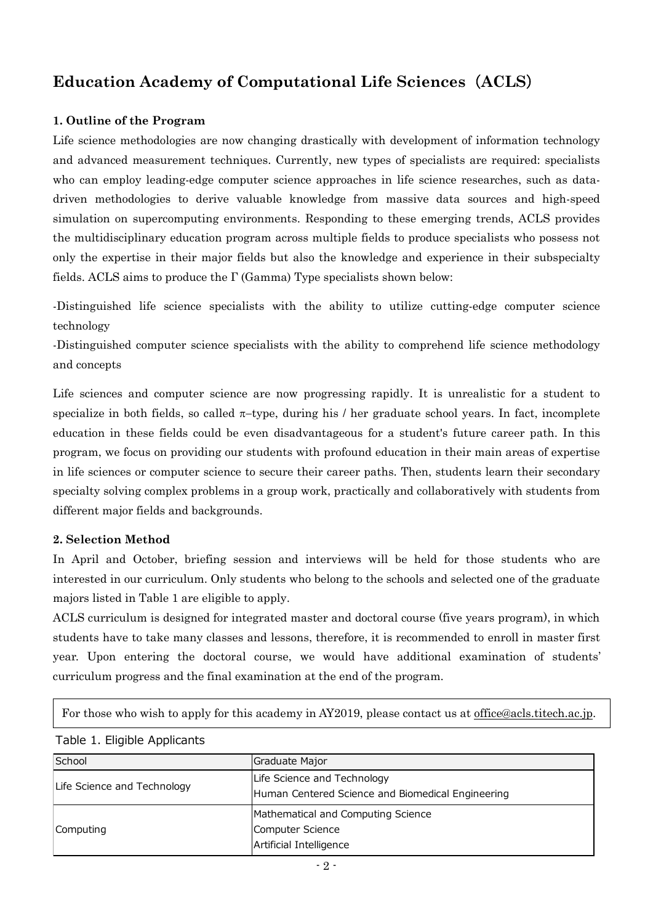# **Education Academy of Computational Life Sciences**(**ACLS**)

## **1. Outline of the Program**

Life science methodologies are now changing drastically with development of information technology and advanced measurement techniques. Currently, new types of specialists are required: specialists who can employ leading-edge computer science approaches in life science researches, such as datadriven methodologies to derive valuable knowledge from massive data sources and high-speed simulation on supercomputing environments. Responding to these emerging trends, ACLS provides the multidisciplinary education program across multiple fields to produce specialists who possess not only the expertise in their major fields but also the knowledge and experience in their subspecialty fields. ACLS aims to produce the Γ (Gamma) Type specialists shown below:

-Distinguished life science specialists with the ability to utilize cutting-edge computer science technology

-Distinguished computer science specialists with the ability to comprehend life science methodology and concepts

Life sciences and computer science are now progressing rapidly. It is unrealistic for a student to specialize in both fields, so called  $\pi$ -type, during his / her graduate school years. In fact, incomplete education in these fields could be even disadvantageous for a student's future career path. In this program, we focus on providing our students with profound education in their main areas of expertise in life sciences or computer science to secure their career paths. Then, students learn their secondary specialty solving complex problems in a group work, practically and collaboratively with students from different major fields and backgrounds.

### **2. Selection Method**

In April and October, briefing session and interviews will be held for those students who are interested in our curriculum. Only students who belong to the schools and selected one of the graduate majors listed in Table 1 are eligible to apply.

ACLS curriculum is designed for integrated master and doctoral course (five years program), in which students have to take many classes and lessons, therefore, it is recommended to enroll in master first year. Upon entering the doctoral course, we would have additional examination of students' curriculum progress and the final examination at the end of the program.

For those who wish to apply for this academy in AY2019, please contact us at [office@acls.titech.ac.jp.](mailto:office@acls.titech.ac.jp)

#### Table 1. Eligible Applicants

| School                      | Graduate Major                                                                   |
|-----------------------------|----------------------------------------------------------------------------------|
| Life Science and Technology | Life Science and Technology<br>Human Centered Science and Biomedical Engineering |
|                             | Mathematical and Computing Science                                               |
| Computing                   | Computer Science<br>Artificial Intelligence                                      |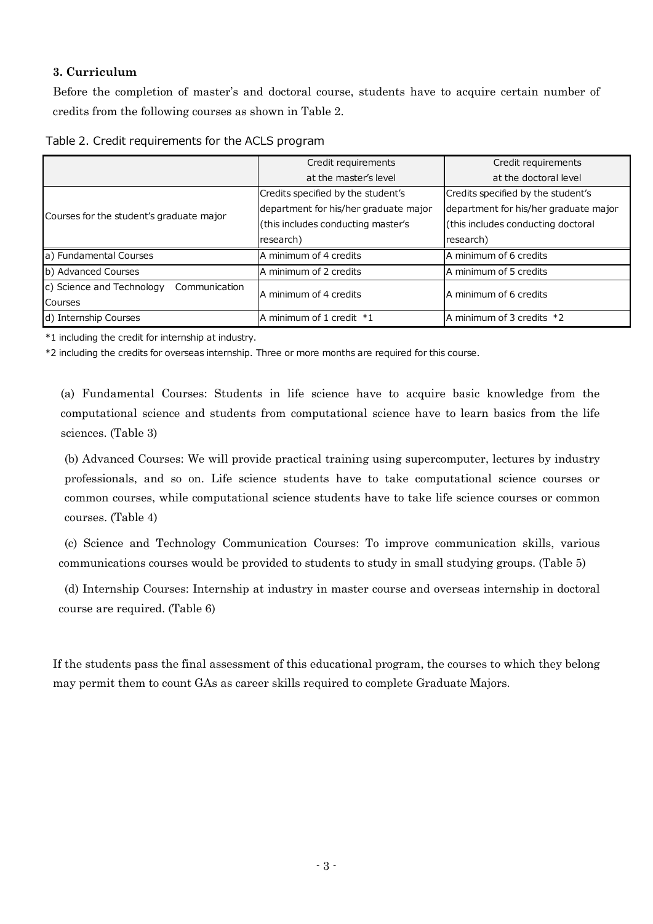### **3. Curriculum**

Before the completion of master's and doctoral course, students have to acquire certain number of credits from the following courses as shown in Table 2.

|  | Table 2. Credit requirements for the ACLS program |  |  |
|--|---------------------------------------------------|--|--|
|  |                                                   |  |  |

|                                            | Credit requirements                   | Credit requirements                   |  |
|--------------------------------------------|---------------------------------------|---------------------------------------|--|
|                                            | at the master's level                 | at the doctoral level                 |  |
|                                            | Credits specified by the student's    | Credits specified by the student's    |  |
|                                            | department for his/her graduate major | department for his/her graduate major |  |
| Courses for the student's graduate major   | (this includes conducting master's    | (this includes conducting doctoral    |  |
|                                            | research)                             | research)                             |  |
| a) Fundamental Courses                     | A minimum of 4 credits                | A minimum of 6 credits                |  |
| b) Advanced Courses                        | A minimum of 2 credits                | A minimum of 5 credits                |  |
| c) Science and Technology<br>Communication | A minimum of 4 credits                | A minimum of 6 credits                |  |
| Courses                                    |                                       |                                       |  |
| d) Internship Courses                      | A minimum of 1 credit *1              | A minimum of 3 credits *2             |  |

\*1 including the credit for internship at industry.

\*2 including the credits for overseas internship. Three or more months are required for this course.

(a) Fundamental Courses: Students in life science have to acquire basic knowledge from the computational science and students from computational science have to learn basics from the life sciences. (Table 3)

(b) Advanced Courses: We will provide practical training using supercomputer, lectures by industry professionals, and so on. Life science students have to take computational science courses or common courses, while computational science students have to take life science courses or common courses. (Table 4)

(c) Science and Technology Communication Courses: To improve communication skills, various communications courses would be provided to students to study in small studying groups. (Table 5)

(d) Internship Courses: Internship at industry in master course and overseas internship in doctoral course are required. (Table 6)

If the students pass the final assessment of this educational program, the courses to which they belong may permit them to count GAs as career skills required to complete Graduate Majors.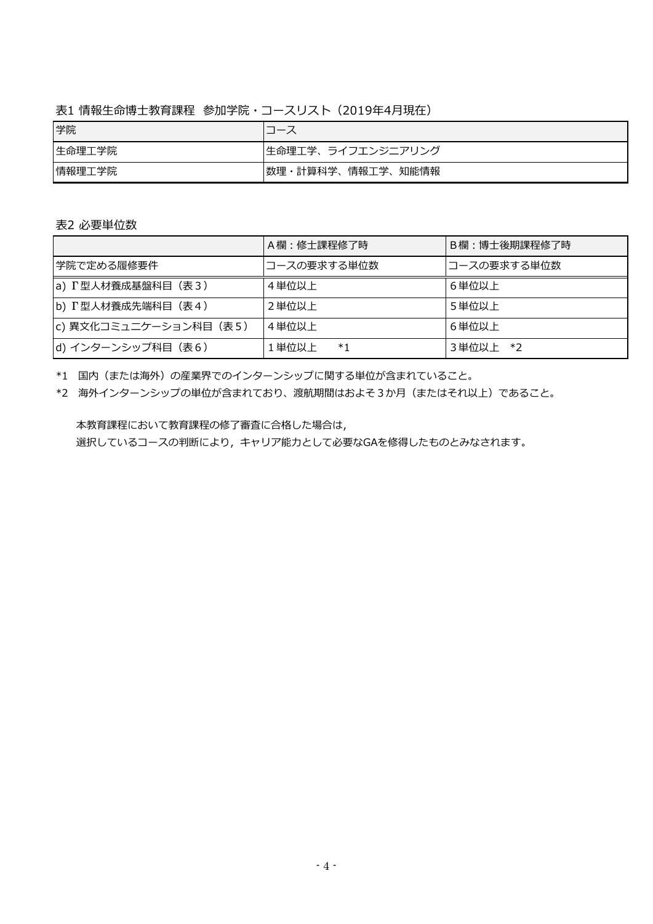表1 情報生命博士教育課程 参加学院・コースリスト(2019年4月現在)

| 学院     |                   |
|--------|-------------------|
| 生命理工学院 | 生命理工学、ライフエンジニアリング |
| 情報理工学院 | 数理・計算科学、情報工学、知能情報 |

| 表2 必要単位数                   |             |              |  |  |  |  |  |
|----------------------------|-------------|--------------|--|--|--|--|--|
|                            | A欄:修士課程修了時  | B欄:博士後期課程修了時 |  |  |  |  |  |
| 学院で定める履修要件                 | コースの要求する単位数 | コースの要求する単位数  |  |  |  |  |  |
| a) $\Gamma$ 型人材養成基盤科目 (表3) | 4単位以上       | 6単位以上        |  |  |  |  |  |
| b) T型人材養成先端科目 (表4)         | 2 単位以上      | 5単位以上        |  |  |  |  |  |
| c) 異文化コミュニケーション科目 (表5)     | 4単位以上       | 6単位以上        |  |  |  |  |  |
| d) インターンシップ科目 (表6)         | 1単位以上<br>*1 | 3単位以上 *2     |  |  |  |  |  |

\*1 国内(または海外)の産業界でのインターンシップに関する単位が含まれていること。

\*2 海外インターンシップの単位が含まれており、渡航期間はおよそ3か月(またはそれ以上)であること。

 本教育課程において教育課程の修了審査に合格した場合は, 選択しているコースの判断により,キャリア能力として必要なGAを修得したものとみなされます。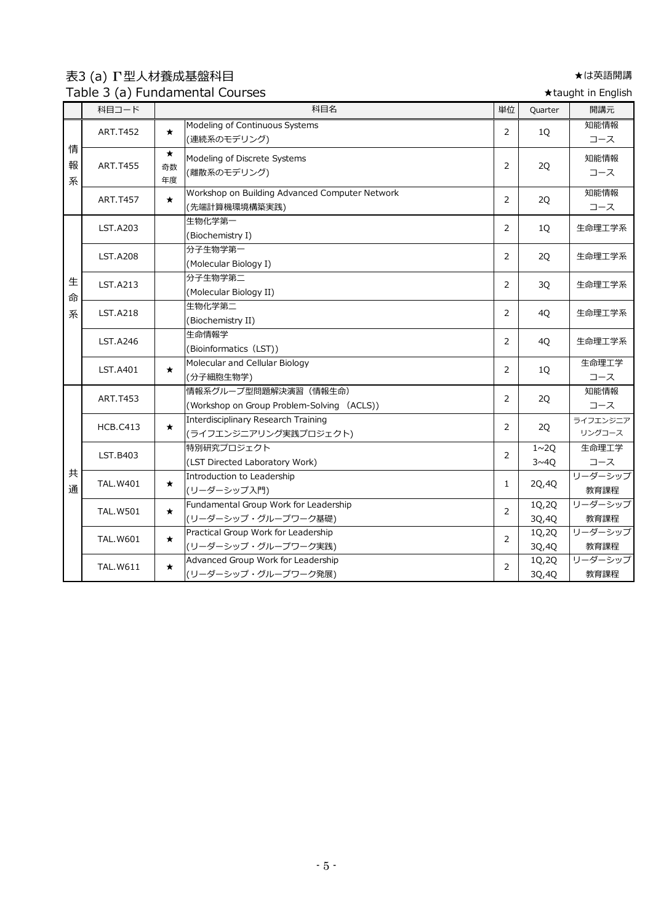表3 (a) Γ型人材養成基盤科目 ★は英語開講 Table 3 (a) Fundamental Courses

★taught in English

|             | 科目コード            |                     | rabic 9 (a) randamchar coarbes<br>科目名                               | 単位             | Quarter            | 開講元                |
|-------------|------------------|---------------------|---------------------------------------------------------------------|----------------|--------------------|--------------------|
|             |                  |                     | Modeling of Continuous Systems                                      |                |                    | 知能情報               |
|             | <b>ART.T452</b>  | $\star$             | (連続系のモデリング)                                                         | $\overline{2}$ | 1Q                 | コース                |
| 情<br>報<br>系 | <b>ART.T455</b>  | $\star$<br>奇数<br>年度 | Modeling of Discrete Systems<br>(離散系のモデリング)                         | $\overline{2}$ | 2Q                 | 知能情報<br>コース        |
|             | <b>ART.T457</b>  | $\star$             | Workshop on Building Advanced Computer Network<br>(先端計算機環境構築実践)     | $\overline{2}$ | 2Q                 | 知能情報<br>コース        |
|             | <b>LST.A203</b>  |                     | 生物化学第一<br>(Biochemistry I)                                          | 2              | 1Q                 | 生命理工学系             |
|             | <b>LST.A208</b>  |                     | 分子生物学第一<br>(Molecular Biology I)                                    | $\overline{2}$ | 2Q                 | 生命理工学系             |
| 生<br>命      | <b>LST.A213</b>  |                     | 分子生物学第二<br>(Molecular Biology II)                                   | 2              | 3Q                 | 生命理工学系             |
| 系           | <b>LST.A218</b>  |                     | 生物化学第二<br>(Biochemistry II)                                         | $\overline{2}$ | 4Q                 | 生命理工学系             |
|             | <b>LST.A246</b>  |                     | 生命情報学<br>(Bioinformatics (LST))                                     | $\overline{2}$ | 4Q                 | 生命理工学系             |
|             | LST.A401         | $\star$             | Molecular and Cellular Biology<br>(分子細胞生物学)                         | $\overline{2}$ | 1Q                 | 生命理工学<br>コース       |
|             | ART.T453         |                     | 情報系グループ型問題解決演習 (情報生命)<br>(Workshop on Group Problem-Solving (ACLS)) | $\overline{2}$ | 2Q                 | 知能情報<br>コース        |
|             | <b>HCB.C413</b>  | $\star$             | Interdisciplinary Research Training<br>(ライフエンジニアリング実践プロジェクト)        | $\overline{2}$ | 2Q                 | ライフエンジニア<br>リングコース |
|             | LST.B403         |                     | 特別研究プロジェクト<br>(LST Directed Laboratory Work)                        | $\overline{2}$ | $1 \sim 2Q$<br>3~1 | 生命理工学<br>コース       |
| 共<br>通      | <b>TAL.W401</b>  | $\star$             | Introduction to Leadership<br>(リーダーシップ入門)                           | $\mathbf{1}$   | 2Q,4Q              | リーダーシップ<br>教育課程    |
|             | <b>TAL.W501</b>  | $\star$             | Fundamental Group Work for Leadership<br>(リーダーシップ・グループワーク基礎)        | $\overline{2}$ | 1Q,2Q<br>3Q,4Q     | リーダーシップ<br>教育課程    |
|             | <b>TAL. W601</b> | $\star$             | Practical Group Work for Leadership<br>(リーダーシップ・グループワーク実践)          | $\overline{2}$ | 1Q, 2Q<br>3Q,4Q    | リーダーシップ<br>教育課程    |
|             | <b>TAL.W611</b>  | $\star$             | Advanced Group Work for Leadership<br>(リーダーシップ・グループワーク発展)           | $\overline{2}$ | 1Q,2Q<br>30,40     | リーダーシップ<br>教育課程    |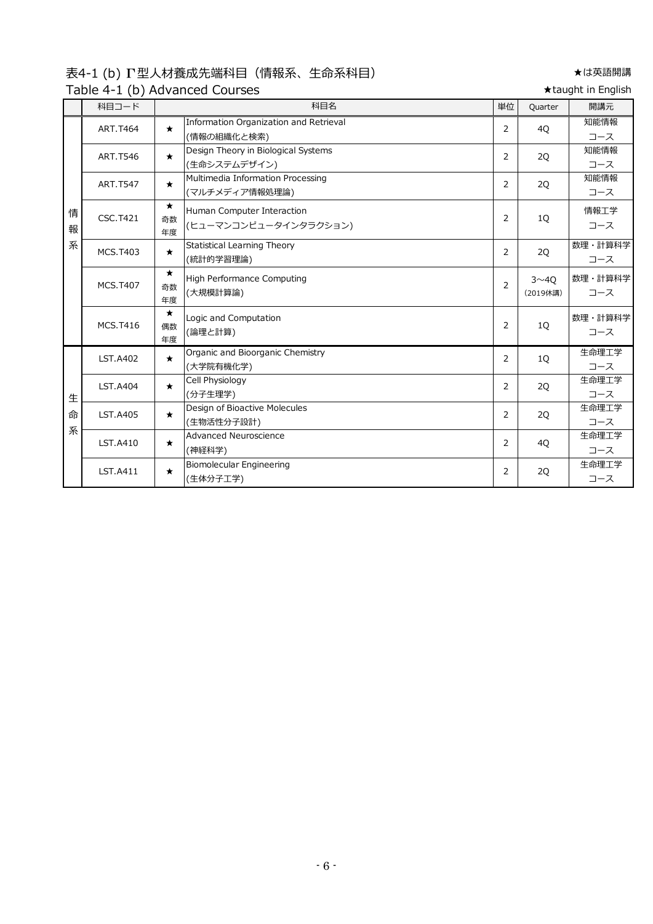表4-1 (b) Γ型人材養成先端科目(情報系、生命系科目) ★は英語開講 Table 4-1 (b) Advanced Courses <br>
→ Table 4-1 (b) Advanced Courses

|        | $1800$ $+ 127$ $+ 127$ |                     |                                                       |    |                          |                |
|--------|------------------------|---------------------|-------------------------------------------------------|----|--------------------------|----------------|
|        | 科目コード                  |                     | 科目名                                                   | 単位 | Quarter                  | 開講元            |
|        | <b>ART.T464</b>        | $\star$             | Information Organization and Retrieval<br>(情報の組織化と検索) | 2  | 4Q                       | 知能情報<br>コース    |
|        | <b>ART.T546</b>        | $\star$             | Design Theory in Biological Systems<br>(生命システムデザイン)   | 2  | 2Q                       | 知能情報<br>コース    |
|        | <b>ART.T547</b>        | $\star$             | Multimedia Information Processing<br>(マルチメディア情報処理論)   | 2  | 2Q                       | 知能情報<br>コース    |
| 情<br>報 | <b>CSC.T421</b>        | $\star$<br>奇数<br>年度 | Human Computer Interaction<br>(ヒューマンコンピュータインタラクション)   | 2  | 1Q                       | 情報工学<br>コース    |
| 系      | <b>MCS.T403</b>        | $\star$             | Statistical Learning Theory<br>(統計的学習理論)              | 2  | 2Q                       | 数理・計算科学<br>コース |
|        | <b>MCS.T407</b>        | $\star$<br>奇数<br>年度 | <b>High Performance Computing</b><br>(大規模計算論)         | 2  | $3^{\sim}40$<br>(2019休講) | 数理・計算科学<br>コース |
|        | <b>MCS.T416</b>        | $\star$<br>偶数<br>年度 | Logic and Computation<br>(論理と計算)                      | 2  | 1Q                       | 数理・計算科学<br>コース |
|        | LST.A402               | $\star$             | Organic and Bioorganic Chemistry<br>(大学院有機化学)         | 2  | 1Q                       | 生命理工学<br>コース   |
| 生      | <b>LST.A404</b>        | $\star$             | Cell Physiology<br>(分子生理学)                            | 2  | 2Q                       | 生命理工学<br>コース   |
| 命<br>系 | <b>LST.A405</b>        | $\star$             | Design of Bioactive Molecules<br>(生物活性分子設計)           | 2  | 2Q                       | 生命理工学<br>コース   |
|        | LST.A410               | $\star$             | <b>Advanced Neuroscience</b><br>(神経科学)                | 2  | 4Q                       | 生命理工学<br>コース   |
|        | <b>LST.A411</b>        | $\star$             | Biomolecular Engineering<br>(生体分子工学)                  | 2  | 2Q                       | 生命理工学<br>コース   |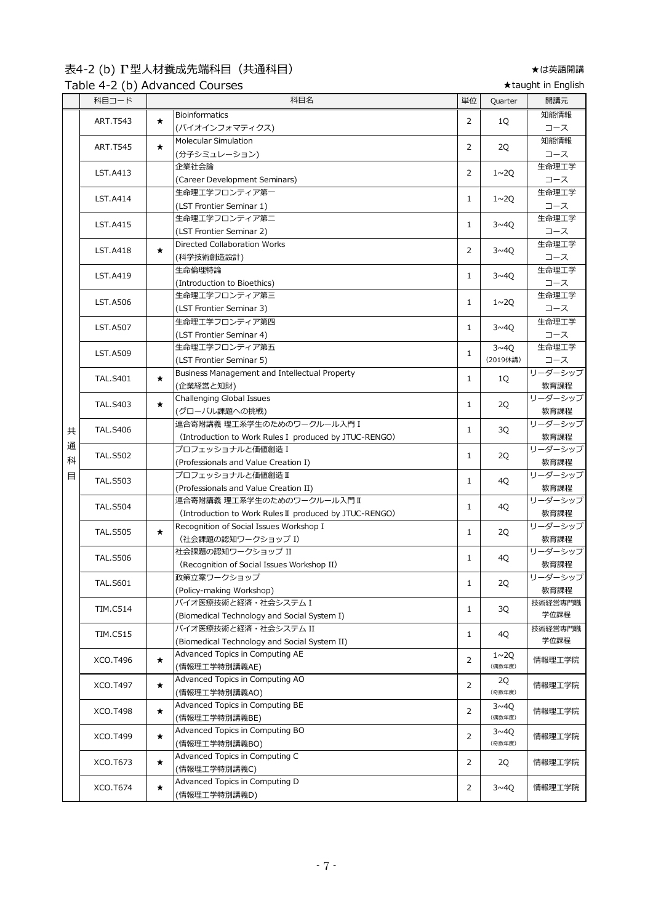# 表4-2 (b) Γ型人材養成先端科目(共通科目) ★は英語開講

Table 4-2 (b) Advanced Courses <br>
→ Table 4-2 (b) Advanced Courses

|   | 科目コード           |         | 科目名<br>単位                                              |                | Quarter               | 開講元             |
|---|-----------------|---------|--------------------------------------------------------|----------------|-----------------------|-----------------|
|   | ART.T543        | $\star$ | <b>Bioinformatics</b>                                  | 2              | 1Q                    | 知能情報            |
|   |                 |         | (バイオインフォマティクス)                                         |                |                       | コース             |
|   | <b>ART.T545</b> | $\star$ | Molecular Simulation                                   | $\overline{2}$ | 2Q                    | 知能情報            |
|   |                 |         | (分子シミュレーション)                                           |                |                       | コース             |
|   | LST.A413        |         | 企業社会論                                                  | 2              | $1 \sim 2Q$           | 生命理工学           |
|   |                 |         | (Career Development Seminars)                          |                |                       | コース             |
|   | LST.A414        |         | 生命理工学フロンティア第一                                          | $\mathbf{1}$   | $1 \sim 2Q$           | 生命理工学           |
|   |                 |         | (LST Frontier Seminar 1)                               |                |                       | コース             |
|   | LST.A415        |         | 生命理工学フロンティア第二                                          | $\mathbf{1}$   | $3 \sim 40$           | 生命理工学           |
|   |                 |         | (LST Frontier Seminar 2)                               |                |                       | コース             |
|   | <b>LST.A418</b> | $\star$ | <b>Directed Collaboration Works</b>                    | 2              | $3 \sim 40$           | 生命理工学           |
|   |                 |         | (科学技術創造設計)                                             |                |                       | コース             |
|   | LST.A419        |         | 生命倫理特論                                                 | 1              | $3 \sim 40$           | 生命理工学           |
|   |                 |         | (Introduction to Bioethics)                            |                |                       | コース             |
|   | <b>LST.A506</b> |         | 生命理工学フロンティア第三                                          | $\mathbf{1}$   | $1 \sim 2Q$           | 生命理工学           |
|   |                 |         | (LST Frontier Seminar 3)                               |                |                       | コース             |
|   | <b>LST.A507</b> |         | 生命理工学フロンティア第四                                          | $\mathbf{1}$   | $3 \sim 40$           | 生命理工学           |
|   |                 |         | (LST Frontier Seminar 4)                               |                |                       | コース             |
|   | <b>LST.A509</b> |         | 生命理工学フロンティア第五                                          | $\mathbf{1}$   | 3~40                  | 生命理工学           |
|   |                 |         | (LST Frontier Seminar 5)                               |                | (2019休講)              | コース             |
|   | <b>TAL.S401</b> | $\star$ | Business Management and Intellectual Property          | $\mathbf{1}$   | 1Q                    | リーダーシップ         |
|   |                 |         | (企業経営と知財)                                              |                |                       | 教育課程            |
|   | <b>TAL.S403</b> | $\star$ | Challenging Global Issues                              | $\mathbf{1}$   | 2Q                    | リーダーシップ         |
|   |                 |         | (グローバル課題への挑戦)                                          |                |                       | 教育課程            |
| 共 | <b>TAL.S406</b> |         | 連合寄附講義 理工系学生のためのワークルール入門 I                             | $\mathbf{1}$   | 3Q                    | リーダーシップ         |
|   |                 |         | (Introduction to Work Rules I produced by JTUC-RENGO)  |                |                       | 教育課程            |
| 通 | <b>TAL.S502</b> |         | プロフェッショナルと価値創造 I                                       | $\mathbf{1}$   | 2Q                    | リーダーシップ         |
| 科 |                 |         | (Professionals and Value Creation I)                   |                |                       | 教育課程            |
| 目 | <b>TAL.S503</b> |         | プロフェッショナルと価値創造 II                                      | $\mathbf{1}$   | 4Q                    | リーダーシップ         |
|   |                 |         | (Professionals and Value Creation II)                  |                |                       | 教育課程            |
|   | <b>TAL.S504</b> |         | 連合寄附講義 理工系学生のためのワークルール入門Ⅱ                              | 1              | 4Q                    | リーダーシップ         |
|   |                 |         | (Introduction to Work Rules II produced by JTUC-RENGO) |                |                       | 教育課程            |
|   | <b>TAL.S505</b> | $\star$ | Recognition of Social Issues Workshop I                | $\mathbf{1}$   | 2Q                    | リーダーシップ         |
|   |                 |         | (社会課題の認知ワークショップ I)                                     |                |                       | 教育課程<br>リーダーシップ |
|   | <b>TAL.S506</b> |         | 社会課題の認知ワークショップ II                                      | $\mathbf{1}$   | 4Q                    |                 |
|   |                 |         | (Recognition of Social Issues Workshop II)             |                |                       | 教育課程            |
|   | <b>TAL.S601</b> |         | 政策立案ワークショップ                                            | $\mathbf{1}$   | 2Q                    | リーダーシップ         |
|   |                 |         | (Policy-making Workshop)<br>バイオ医療技術と経済·社会システムI         |                |                       | 教育課程            |
|   | <b>TIM.C514</b> |         | (Biomedical Technology and Social System I)            | 1              | 3Q                    | 技術経営専門職<br>学位課程 |
|   |                 |         | バイオ医療技術と経済·社会システム II                                   |                |                       | 技術経営専門職         |
|   | <b>TIM.C515</b> |         | (Biomedical Technology and Social System II)           | $\mathbf{1}$   | 4Q                    | 学位課程            |
|   |                 |         | Advanced Topics in Computing AE                        |                |                       |                 |
|   | XCO.T496        | $\star$ | (情報理工学特別講義AE)                                          | 2              | $1 \sim 20$<br>(偶数年度) | 情報理工学院          |
|   |                 |         | Advanced Topics in Computing AO                        |                |                       |                 |
|   | XCO.T497        | $\star$ | (情報理工学特別講義AO)                                          | 2              | 2Q<br>(奇数年度)          | 情報理工学院          |
|   |                 |         | Advanced Topics in Computing BE                        |                | 3~4Q                  |                 |
|   | XCO.T498        | $\star$ | (情報理工学特別講義BE)                                          | 2              | (偶数年度)                | 情報理工学院          |
|   |                 |         | Advanced Topics in Computing BO                        |                | $3 \sim 40$           |                 |
|   | XCO.T499        | $\star$ | (情報理工学特別講義BO)                                          | 2              | (奇数年度)                | 情報理工学院          |
|   |                 |         | Advanced Topics in Computing C                         |                |                       |                 |
|   | XCO.T673        | $\star$ | (情報理工学特別講義C)                                           | 2              | 2Q                    | 情報理工学院          |
|   | XCO.T674        |         | Advanced Topics in Computing D                         |                |                       |                 |
|   |                 | $\star$ | (情報理工学特別講義D)                                           | 2              | $3\nu 4Q$             | 情報理工学院          |
|   |                 |         |                                                        |                |                       |                 |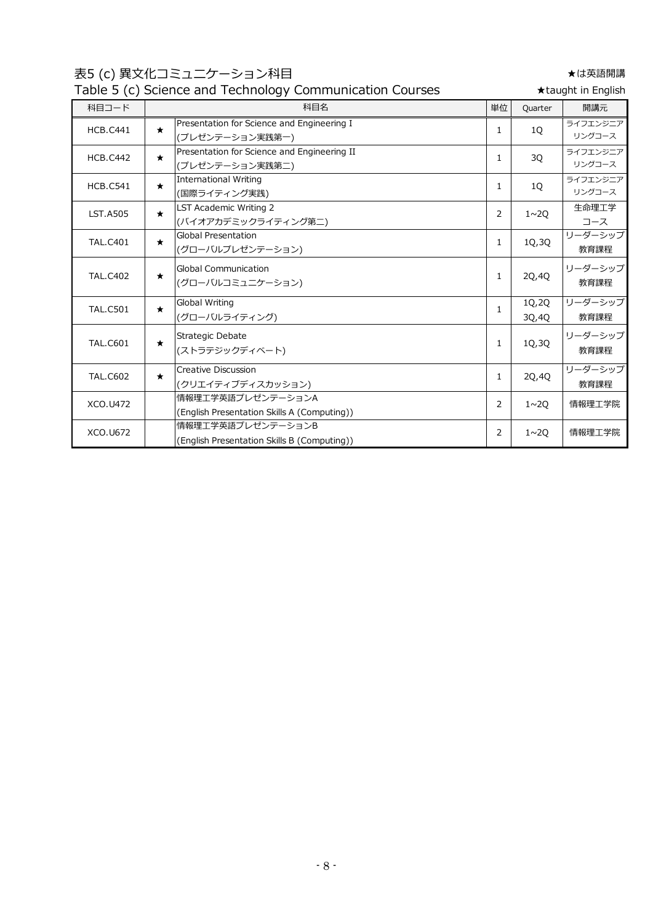表5 (c) 異文化コミュニケーション科目 ★は英語開講

# Table 5 (c) Science and Technology Communication Courses

| Table 5 (c) Science and Technology Communication Courses<br>★taught in English |         |                                                                  |                |                |                    |
|--------------------------------------------------------------------------------|---------|------------------------------------------------------------------|----------------|----------------|--------------------|
| 科目コード                                                                          |         | 科目名                                                              | 単位             | Quarter        | 開講元                |
| <b>HCB.C441</b>                                                                | $\star$ | Presentation for Science and Engineering I<br>(プレゼンテーション実践第一)    | 1              | <b>10</b>      | ライフエンジニア<br>リングコース |
| <b>HCB.C442</b>                                                                | $\star$ | Presentation for Science and Engineering II<br>(プレゼンテーション実践第二)   | 1              | 3Q             | ライフエンジニア<br>リングコース |
| <b>HCB.C541</b>                                                                | $\star$ | <b>International Writing</b><br>(国際ライティング実践)                     | $\mathbf{1}$   | 10             | ライフエンジニア<br>リングコース |
| <b>LST.A505</b>                                                                | $\star$ | LST Academic Writing 2<br>(バイオアカデミックライティング第二)                    | 2              | $1 \sim 20$    | 生命理工学<br>コース       |
| <b>TAL.C401</b>                                                                | $\star$ | <b>Global Presentation</b><br>(グローバルプレゼンテーション)                   | 1              | 1Q, 3Q         | リーダーシップ<br>教育課程    |
| <b>TAL.C402</b>                                                                | $\star$ | <b>Global Communication</b><br>(グローバルコミュニケーション)                  | 1              | 20,40          | リーダーシップ<br>教育課程    |
| <b>TAL.C501</b>                                                                | $\star$ | Global Writing<br>(グローバルライティング)                                  | 1              | 1Q,2Q<br>30,40 | リーダーシップ<br>教育課程    |
| <b>TAL.C601</b>                                                                | $\star$ | Strategic Debate<br>(ストラテジックディベート)                               | 1              | 1Q,3Q          | リーダーシップ<br>教育課程    |
| <b>TAL.C602</b>                                                                | $\star$ | Creative Discussion<br>(クリエイティブディスカッション)                         | 1              | 2Q,4Q          | リーダーシップ<br>教育課程    |
| XCO.U472                                                                       |         | 情報理工学英語プレゼンテーションA<br>(English Presentation Skills A (Computing)) | $\overline{2}$ | $1 \sim 20$    | 情報理工学院             |
| XCO.U672                                                                       |         | 情報理工学英語プレゼンテーションB<br>(English Presentation Skills B (Computing)) | 2              | $1 \sim 20$    | 情報理工学院             |